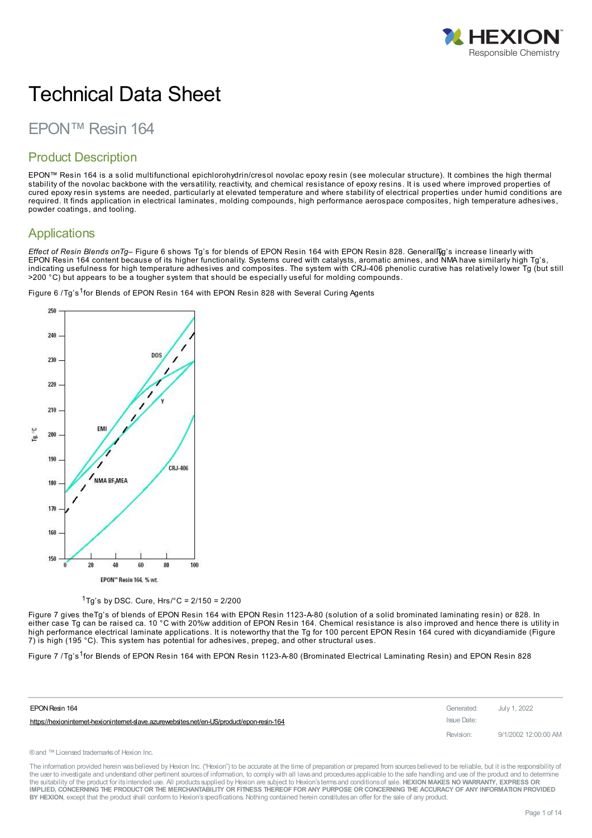

# Technical Data Sheet

# EPON™ Resin 164

### Product Description

EPON™ Resin 164 is a solid multifunctional epichlorohydrin/cresol novolac epoxy resin (see molecular structure). It combines the high thermal stability of the novolac backbone with the versatility, reactivity, and chemical resistance of epoxy resins. It is used where improved properties of cured epoxy resin systems are needed, particularly at elevated temperature and where stability of electrical properties under humid conditions are required. It finds application in electrical laminates, molding compounds, high performance aerospace composites, high temperature adhesives, powder coatings, and tooling.

### **Applications**

*Effect of Resin Blends onTg–* Figure 6 shows Tg's for blends of EPON Resin 164 with EPON Resin 828. GenerallTy,g's increase linearly with EPON Resin 164 content because of its higher functionality. Systems cured with catalysts, aromatic amines, and NMA have similarly high Tg's, indicating usefulness for high temperature adhesives and composites. The system with CRJ-406 phenolic curative has relatively lower Tg (but still >200 °C) but appears to be a tougher system that should be especially useful for molding compounds.

Figure 6 /Tg's <sup>1</sup>for Blends of EPON Resin 164 with EPON Resin 828 with Several Curing Agents



<sup>1</sup>Tg's by DSC. Cure,  $Hrs$ <sup>o</sup>C = 2/150 = 2/200

Figure 7 gives theTg's of blends of EPON Resin 164 with EPON Resin 1123-A-80 (solution of a solid brominated laminating resin) or 828. In either case Tg can be raised ca. 10 °C with 20%w addition of EPON Resin 164. Chemical resistance is also improved and hence there is utility in high performance electrical laminate applications. It is noteworthy that the Tg for 100 percent EPON Resin 164 cured with dicyandiamide (Figure 7) is high (195 °C). This system has potential for adhesives, prepeg, and other structural uses.

Figure 7 /Tg's <sup>1</sup>for Blends of EPON Resin 164 with EPON Resin 1123-A-80 (Brominated Electrical Laminating Resin) and EPON Resin 828

| EPON Resin 164                                                                             | Generated:  | July 1, 2022         |
|--------------------------------------------------------------------------------------------|-------------|----------------------|
| https://hexioninternet-hexioninternet-slave.azurewebsites.net/en-US/product/epon-resin-164 | Issue Date: |                      |
|                                                                                            | Revision:   | 9/1/2002 12:00:00 AM |

®and ™Licensed trademarksof Hexion Inc.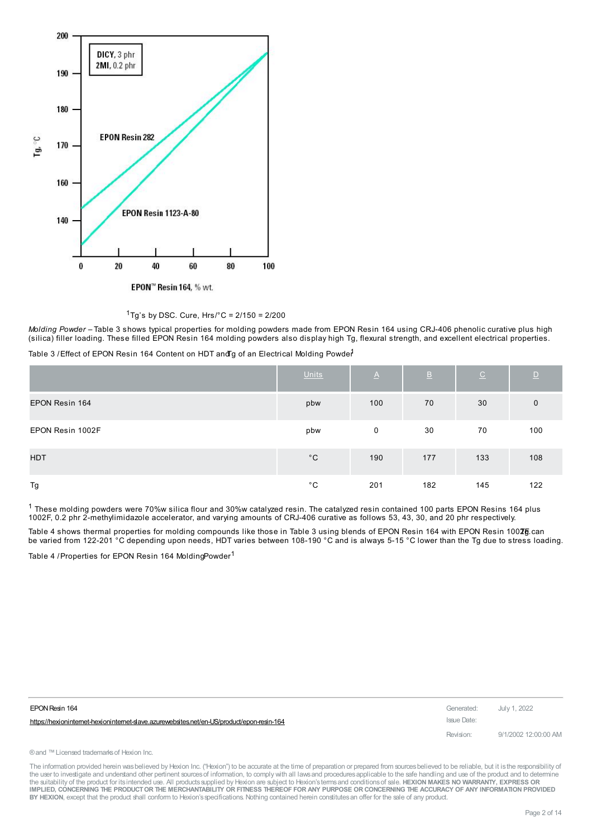



*Molding Powder –* Table 3 shows typical properties for molding powders made from EPON Resin 164 using CRJ-406 phenolic curative plus high (silica) filler loading. These filled EPON Resin 164 molding powders also display high Tg, flexural strength, and excellent electrical properties.

Table 3 / Effect of EPON Resin 164 Content on HDT and g of an Electrical Molding Powde<sup>1</sup>

|                  | Units        | $\underline{\mathsf{A}}$ | $\overline{B}$ | $\underline{\mathsf{C}}$ | D            |
|------------------|--------------|--------------------------|----------------|--------------------------|--------------|
| EPON Resin 164   | pbw          | 100                      | 70             | 30                       | $\mathbf{0}$ |
| EPON Resin 1002F | pbw          | $\mathbf 0$              | 30             | 70                       | 100          |
| <b>HDT</b>       | $^{\circ}$ C | 190                      | 177            | 133                      | 108          |
| Tg               | $^{\circ}$ C | 201                      | 182            | 145                      | 122          |

 $^1$  These molding powders were 70%w silica flour and 30%w catalyzed resin. The catalyzed resin contained 100 parts EPON Resins 164 plus 1002F, 0.2 phr 2-methylimidazole accelerator, and varying amounts of CRJ-406 curative as follows 53, 43, 30, and 20 phr respectively.

Table 4 shows thermal properties for molding compounds like those in Table 3 using blends of EPON Resin 164 with EPON Resin 100ZE.can be varied from 122-201 °C depending upon needs, HDT varies between 108-190 °C and is always 5-15 °C lower than the Tg due to stress loading.

Table 4 / Properties for EPON Resin 164 MoldingPowder<sup>1</sup>

| EPON Resin 164                                                                           | Generated:  | July 1, 2022         |
|------------------------------------------------------------------------------------------|-------------|----------------------|
| https://hexionintemet-hexionintemet-slave.azurewebsites.net/en-US/product/epon-resin-164 | Issue Date: |                      |
|                                                                                          | Revision:   | 9/1/2002 12:00:00 AM |

® and ™ Licensed trademarks of Hexion Inc.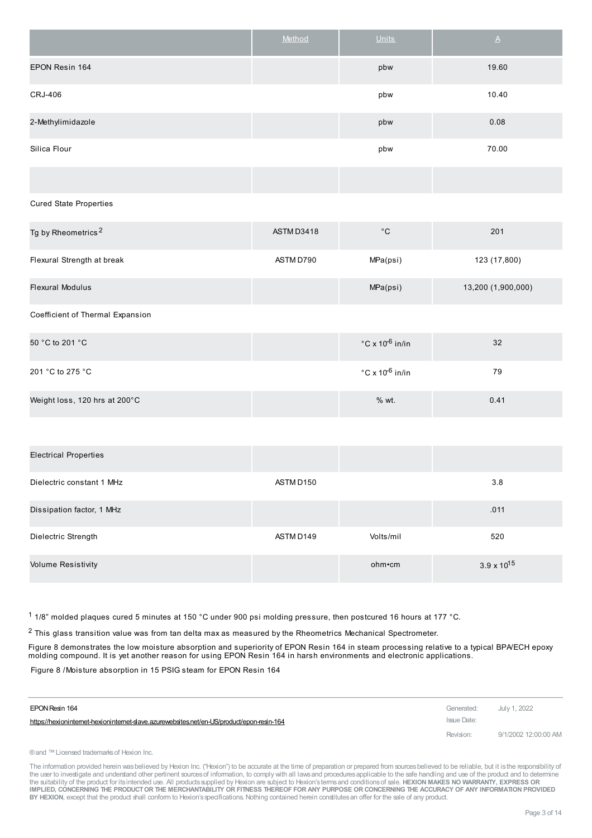|                   | Method | <b>Units</b> | $\Delta$ |
|-------------------|--------|--------------|----------|
| EPON Resin 164    |        | pbw          | 19.60    |
| CRJ-406           |        | pbw          | 10.40    |
| 2-Methylimidazole |        | pbw          | 0.08     |
| Silica Flour      |        | pbw          | 70.00    |
|                   |        |              |          |

Cured State Properties

| Tg by Rheometrics <sup>2</sup>   | ASTM D3418 | $^{\circ}$ C                         | 201                |
|----------------------------------|------------|--------------------------------------|--------------------|
| Flexural Strength at break       | ASTM D790  | MPa(psi)                             | 123 (17,800)       |
| <b>Flexural Modulus</b>          |            | MPa(psi)                             | 13,200 (1,900,000) |
| Coefficient of Thermal Expansion |            |                                      |                    |
| 50 °C to 201 °C                  |            | $\degree$ C x 10 <sup>-6</sup> in/in | 32                 |
| 201 °C to 275 °C                 |            | $\degree$ C x 10 <sup>-6</sup> in/in | 79                 |
| Weight loss, 120 hrs at 200°C    |            | % wt.                                | 0.41               |

| <b>Electrical Properties</b> |           |           |                      |
|------------------------------|-----------|-----------|----------------------|
| Dielectric constant 1 MHz    | ASTM D150 |           | 3.8                  |
| Dissipation factor, 1 MHz    |           |           | .011                 |
| Dielectric Strength          | ASTM D149 | Volts/mil | 520                  |
| <b>Volume Resistivity</b>    |           | ohm•cm    | $3.9 \times 10^{15}$ |

1 1/8" molded plaques cured 5 minutes at 150 °C under 900 psi molding pressure, then postcured 16 hours at 177 °C.

2 This glass transition value was from tan delta max as measured by the Rheometrics Mechanical Spectrometer.

Figure 8 demonstrates the low moisture absorption and superiority of EPON Resin 164 in steam processing relative to a typical BPA/ECH epoxy molding compound. It is yet another reason for using EPON Resin 164 in harsh environments and electronic applications.

Figure 8 /Moisture absorption in 15 PSIG steam for EPON Resin 164

| EPON Resin 164                                                                             | Generated:  | July 1, 2022         |
|--------------------------------------------------------------------------------------------|-------------|----------------------|
| https://hexioninternet-hexioninternet-slave.azurewebsites.net/en-US/product/epon-resin-164 | Issue Date: |                      |
|                                                                                            | Revision:   | 9/1/2002 12:00:00 AM |

® and ™ Licensed trademarks of Hexion Inc.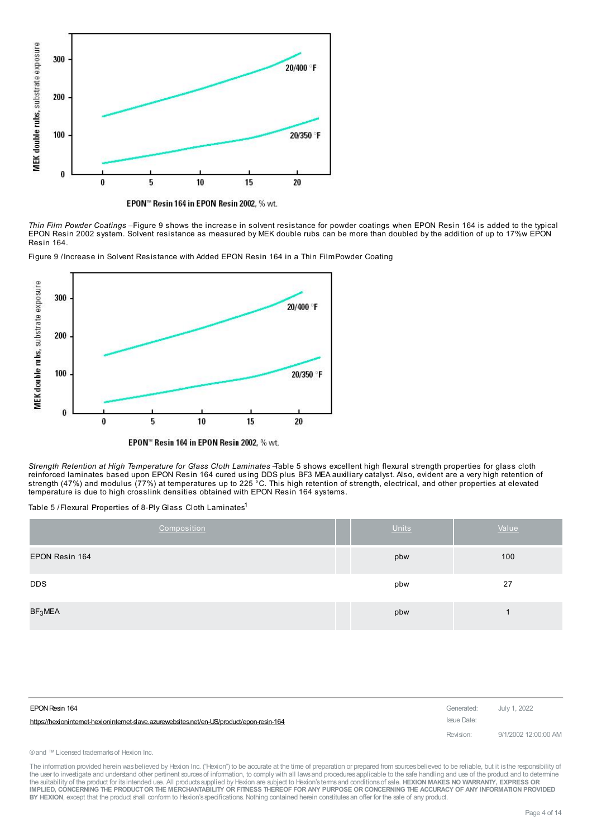

EPON™ Resin 164 in EPON Resin 2002, % wt.

*Thin Film Powder Coatings –*Figure 9 shows the increase in solvent resistance for powder coatings when EPON Resin 164 is added to the typical EPON Resin 2002 system. Solvent resistance as measured by MEK double rubs can be more than doubled by the addition of up to 17%w EPON Resin 164.

Figure 9 /Increase in Solvent Resistance with Added EPON Resin 164 in a Thin FilmPowder Coating



EPON" Resin 164 in EPON Resin 2002, % wt.

*Strength Retention at High Temperature for Glass Cloth Laminates –*Table 5 shows excellent high flexural strength properties for glass cloth reinforced laminates based upon EPON Resin 164 cured using DDS plus BF3 MEA auxiliary catalyst. Also, evident are a very high retention of strength (47%) and modulus (77%) at temperatures up to 225 °C. This high retention of strength, electrical, and other properties at elevated temperature is due to high crosslink densities obtained with EPON Resin 164 systems.

Table 5 /Flexural Properties of 8-Ply Glass Cloth Laminates<sup>1</sup>

| Composition         | <b>Units</b> | Value |
|---------------------|--------------|-------|
| EPON Resin 164      | pbw          | 100   |
| <b>DDS</b>          | pbw          | 27    |
| BF <sub>3</sub> MEA | pbw          |       |

| EPON Resin 164                                                                             | Generated: July 1, 2022 |                      |
|--------------------------------------------------------------------------------------------|-------------------------|----------------------|
| https://hexioninternet-hexioninternet-slave.azurewebsites.net/en-US/product/epon-resin-164 | Issue Date:             |                      |
|                                                                                            | Revision:               | 9/1/2002 12:00:00 AM |

#### ® and ™ Licensed trademarks of Hexion Inc.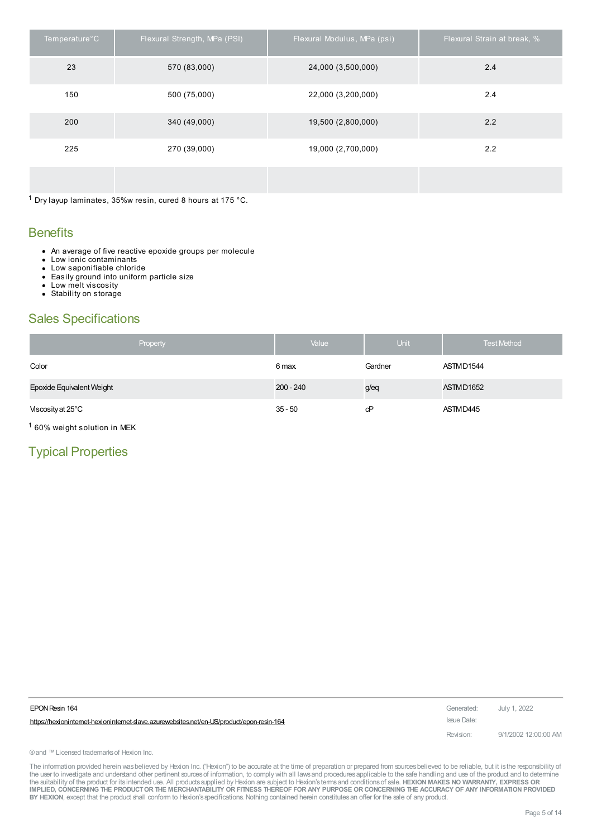| Temperature°C | Flexural Strength, MPa (PSI) | Flexural Modulus, MPa (psi) | Flexural Strain at break, % |
|---------------|------------------------------|-----------------------------|-----------------------------|
| 23            | 570 (83,000)                 | 24,000 (3,500,000)          | 2.4                         |
| 150           | 500 (75,000)                 | 22,000 (3,200,000)          | 2.4                         |
| 200           | 340 (49,000)                 | 19,500 (2,800,000)          | 2.2                         |
| 225           | 270 (39,000)                 | 19,000 (2,700,000)          | 2.2                         |
|               |                              |                             |                             |

 $1$  Dry layup laminates, 35%w resin, cured 8 hours at 175 °C.

### **Benefits**

- An average of five reactive epoxide groups per molecule
- $\bullet$ Low ionic contaminants
- Low saponifiable chloride  $\bullet$  $\bullet$
- Easily ground into uniform particle size Low melt viscosity
- $\bullet$ • Stability on storage

# Sales Specifications

| Property                  | Value       | Unit    | <b>Test Method</b> |
|---------------------------|-------------|---------|--------------------|
| Color                     | 6 max.      | Gardner | ASTMD1544          |
| Epoxide Equivalent Weight | $200 - 240$ | g/eq    | ASTMD1652          |
| Viscosity at 25°C         | $35 - 50$   | cP      | ASTMD445           |

1 60% weight solution in MEK

# Typical Properties

| EPON Resin 164                                                                           | Generated:  | July 1, 2022         |
|------------------------------------------------------------------------------------------|-------------|----------------------|
| https://hexionintemet-hexionintemet-slave.azurewebsites.net/en-US/product/epon-resin-164 | Issue Date: |                      |
|                                                                                          | Revision:   | 9/1/2002 12:00:00 AM |

® and ™ Licensed trademarks of Hexion Inc.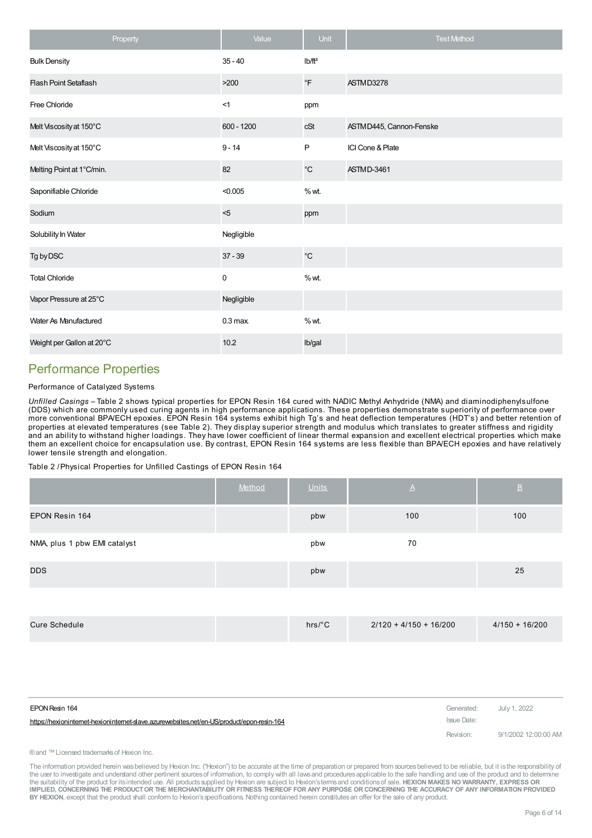| Property                     | Value             | Unit               | <b>Test Method</b>      |
|------------------------------|-------------------|--------------------|-------------------------|
| <b>Bulk Density</b>          | $35 - 40$         | Ib/ft <sup>3</sup> |                         |
| <b>Flash Point Setaflash</b> | >200              | $\circ$ F          | ASTMD3278               |
| Free Chloride                | <1                | ppm                |                         |
| Melt Viscosity at 150°C      | 600 - 1200        | cSt                | ASTMD445, Cannon-Fenske |
| Melt Viscosity at 150°C      | $9 - 14$          | $\mathsf P$        | ICI Cone & Plate        |
| Melting Point at 1°C/min.    | 82                | $^{\circ}{\rm C}$  | ASTMD-3461              |
| Saponifiable Chloride        | < 0.005           | % wt.              |                         |
| Sodium                       | $5$               | ppm                |                         |
| Solubility In Water          | Negligible        |                    |                         |
| Tg by DSC                    | $37 - 39$         | $^{\circ}{\rm C}$  |                         |
| <b>Total Chloride</b>        | $\pmb{0}$         | % wt.              |                         |
| Vapor Pressure at 25°C       | Negligible        |                    |                         |
| <b>Water As Manufactured</b> | $0.3 \text{ max}$ | % wt.              |                         |
| Weight per Gallon at 20°C    | 10.2              | Ib/gal             |                         |

# Performance Properties

#### Performance of Catalyzed Systems

*Unfilled Casings –* Table 2 shows typical properties for EPON Resin 164 cured with NADIC Methyl Anhydride (NMA) and diaminodiphenylsulfone (DDS) which are commonly used curing agents in high performance applications. These properties demonstrate superiority of performance over more conventional BPA/ECH epoxies. EPON Resin 164 systems exhibit high Tg's and heat deflection temperatures (HDT's) and better retention of properties at elevated temperatures (see Table 2). They display superior strength and modulus which translates to greater stiffness and rigidity and an ability to withstand higher loadings. They have lower coefficient of linear thermal expansion and excellent electrical properties which make them an excellent choice for encapsulation use. By contrast, EPON Resin 164 systems are less flexible than BPA/ECH epoxies and have relatively lower tensile strength and elongation.

Table 2 /Physical Properties for Unfilled Castings of EPON Resin 164

|                              | Method | <b>Units</b> | $\triangleright$ | $\overline{\mathsf{B}}$ |
|------------------------------|--------|--------------|------------------|-------------------------|
| EPON Resin 164               |        | pbw          | 100              | 100                     |
| NMA, plus 1 pbw EMI catalyst |        | pbw          | 70               |                         |
| <b>DDS</b>                   |        | pbw          |                  | 25                      |

|--|

| EPON Resin 164                                                                             | Generated:  | July 1, 2022         |
|--------------------------------------------------------------------------------------------|-------------|----------------------|
| https://hexioninternet-hexioninternet-slave.azurewebsites.net/en-US/product/epon-resin-164 | Issue Date: |                      |
|                                                                                            | Revision:   | 9/1/2002 12:00:00 AM |

#### ® and ™ Licensed trademarks of Hexion Inc.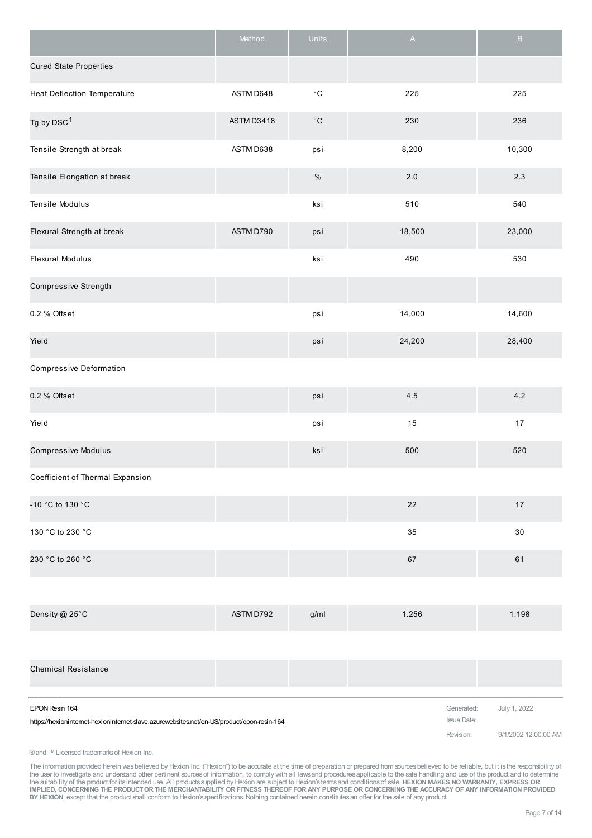|                                                                                                            | Method     | <b>Units</b>      | $\underline{\mathsf{A}}$         | $\underline{\mathsf{B}}$ |
|------------------------------------------------------------------------------------------------------------|------------|-------------------|----------------------------------|--------------------------|
| <b>Cured State Properties</b>                                                                              |            |                   |                                  |                          |
| <b>Heat Deflection Temperature</b>                                                                         | ASTM D648  | $^{\circ}{\rm C}$ | 225                              | 225                      |
| Tg by DSC <sup>1</sup>                                                                                     | ASTM D3418 | $^{\circ}{\rm C}$ | 230                              | 236                      |
| Tensile Strength at break                                                                                  | ASTM D638  | psi               | 8,200                            | 10,300                   |
| Tensile Elongation at break                                                                                |            | $\%$              | 2.0                              | $2.3\,$                  |
| Tensile Modulus                                                                                            |            | ksi               | 510                              | 540                      |
| Flexural Strength at break                                                                                 | ASTM D790  | psi               | 18,500                           | 23,000                   |
| Flexural Modulus                                                                                           |            | ksi               | 490                              | 530                      |
| Compressive Strength                                                                                       |            |                   |                                  |                          |
| 0.2 % Offset                                                                                               |            | psi               | 14,000                           | 14,600                   |
| Yield                                                                                                      |            | psi               | 24,200                           | 28,400                   |
| Compressive Deformation                                                                                    |            |                   |                                  |                          |
| 0.2 % Offset                                                                                               |            | psi               | 4.5                              | 4.2                      |
| Yield                                                                                                      |            | psi               | 15                               | $17$                     |
| <b>Compressive Modulus</b>                                                                                 |            | ksi               | 500                              | 520                      |
| Coefficient of Thermal Expansion                                                                           |            |                   |                                  |                          |
| -10 °C to 130 °C                                                                                           |            |                   | 22                               | 17                       |
| 130 °C to 230 °C                                                                                           |            |                   | 35                               | 30                       |
| 230 °C to 260 °C                                                                                           |            |                   | 67                               | 61                       |
|                                                                                                            |            |                   |                                  |                          |
| Density @ 25°C                                                                                             | ASTM D792  | g/ml              | 1.256                            | 1.198                    |
|                                                                                                            |            |                   |                                  |                          |
| <b>Chemical Resistance</b>                                                                                 |            |                   |                                  |                          |
| EPON Resin 164<br>https://hexionintemet-hexionintemet-slave.azurewebsites.net/en-US/product/epon-resin-164 |            |                   | Generated:<br><b>Issue Date:</b> | July 1, 2022             |
|                                                                                                            |            |                   | Revision:                        | 9/1/2002 12:00:00 AM     |

®and ™Licensed trademarksof Hexion Inc.

The information provided herein was believed by Hexion Inc. ("Hexion") to be accurate at the time of preparation or prepared from sources believed to be reliable, but it is the responsibility of<br>the user to investigate and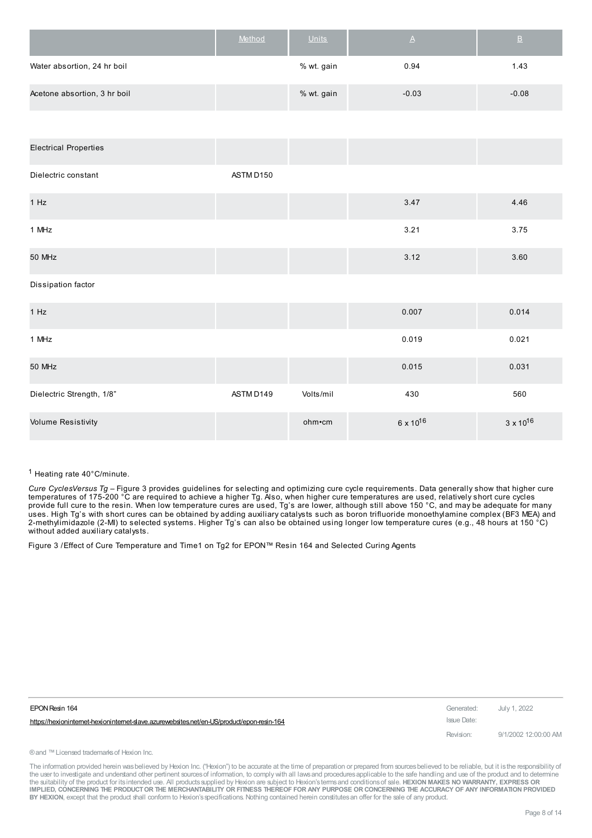|                              | Method | <b>Units</b> | Α       | в       |
|------------------------------|--------|--------------|---------|---------|
| Water absortion, 24 hr boil  |        | % wt. gain   | 0.94    | 1.43    |
| Acetone absortion, 3 hr boil |        | % wt. gain   | $-0.03$ | $-0.08$ |
|                              |        |              |         |         |

| <b>Electrical Properties</b> |           |           |                      |                    |
|------------------------------|-----------|-----------|----------------------|--------------------|
| Dielectric constant          | ASTM D150 |           |                      |                    |
| 1 Hz                         |           |           | 3.47                 | 4.46               |
| 1 MHz                        |           |           | 3.21                 | 3.75               |
| 50 MHz                       |           |           | 3.12                 | 3.60               |
| Dissipation factor           |           |           |                      |                    |
| 1 Hz                         |           |           | 0.007                | 0.014              |
| 1 MHz                        |           |           | 0.019                | 0.021              |
| 50 MHz                       |           |           | 0.015                | 0.031              |
| Dielectric Strength, 1/8"    | ASTM D149 | Volts/mil | 430                  | 560                |
| <b>Volume Resistivity</b>    |           | ohm•cm    | 6 x 10 <sup>16</sup> | $3 \times 10^{16}$ |

1 Heating rate 40°C/minute.

*Cure CyclesVersus Tg –* Figure 3 provides guidelines for selecting and optimizing cure cycle requirements. Data generally show that higher cure temperatures of 175-200 °C are required to achieve a higher Tg. Also, when higher cure temperatures are used, relatively short cure cycles provide full cure to the resin. When low temperature cures are used, Tg's are lower, although still above 150 °C, and may be adequate for many uses. High Tg's with short cures can be obtained by adding auxiliary catalysts such as boron trifluoride monoethylamine complex (BF3 MEA) and 2-methylimidazole (2-MI) to selected systems. Higher Tg's can also be obtained using longer low temperature cures (e.g., 48 hours at 150 °C) without added auxiliary catalysts.

Figure 3 /Effect of Cure Temperature and Time1 on Tg2 for EPON™ Resin 164 and Selected Curing Agents

| EPON Resin 164                                                                           | Generated: July 1, 2022 |                      |
|------------------------------------------------------------------------------------------|-------------------------|----------------------|
| https://hexionintemet-hexionintemet-slave.azurewebsites.net/en-US/product/epon-resin-164 | Issue Date:             |                      |
|                                                                                          | Revision:               | 9/1/2002 12:00:00 AM |

® and ™ Licensed trademarks of Hexion Inc.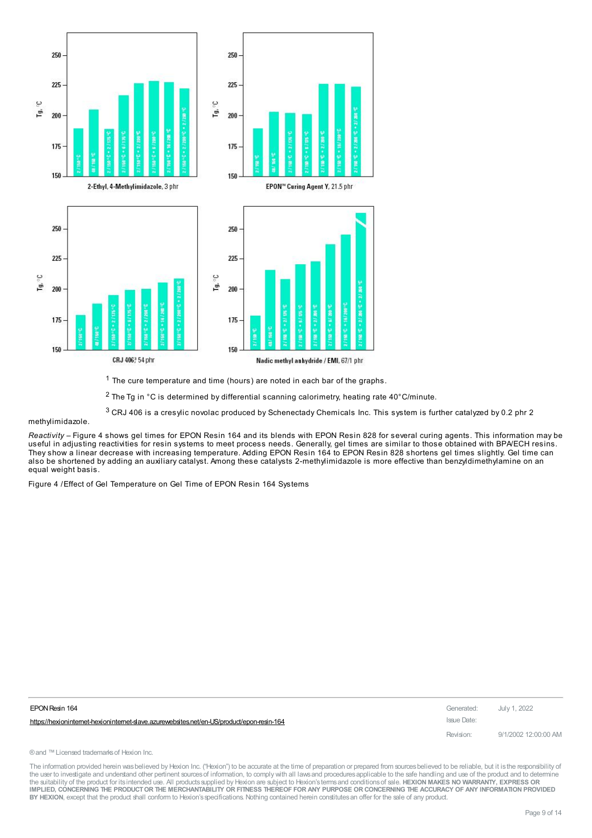

1 The cure temperature and time (hours) are noted in each bar of the graphs.

 $2$  The Tg in  $\degree$ C is determined by differential scanning calorimetry, heating rate 40 $\degree$ C/minute.

 $3$  CRJ 406 is a cresylic novolac produced by Schenectady Chemicals Inc. This system is further catalyzed by 0.2 phr 2

methylimidazole.

*Reactivity –* Figure 4 shows gel times for EPON Resin 164 and its blends with EPON Resin 828 for several curing agents. This information may be useful in adjusting reactivities for resin systems to meet process needs. Generally, gel times are similar to those obtained with BPA/ECH resins. They show a linear decrease with increasing temperature. Adding EPON Resin 164 to EPON Resin 828 shortens gel times slightly. Gel time can also be shortened by adding an auxiliary catalyst. Among these catalysts 2-methylimidazole is more effective than benzyldimethylamine on an equal weight basis.

Figure 4 /Effect of Gel Temperature on Gel Time of EPON Resin 164 Systems

| EPON Resin 164                                                                             | Generated:  | July 1, 2022         |
|--------------------------------------------------------------------------------------------|-------------|----------------------|
| https://hexioninternet-hexioninternet-slave.azurewebsites.net/en-US/product/epon-resin-164 | Issue Date: |                      |
|                                                                                            | Revision:   | 9/1/2002 12:00:00 AM |

® and ™ Licensed trademarks of Hexion Inc.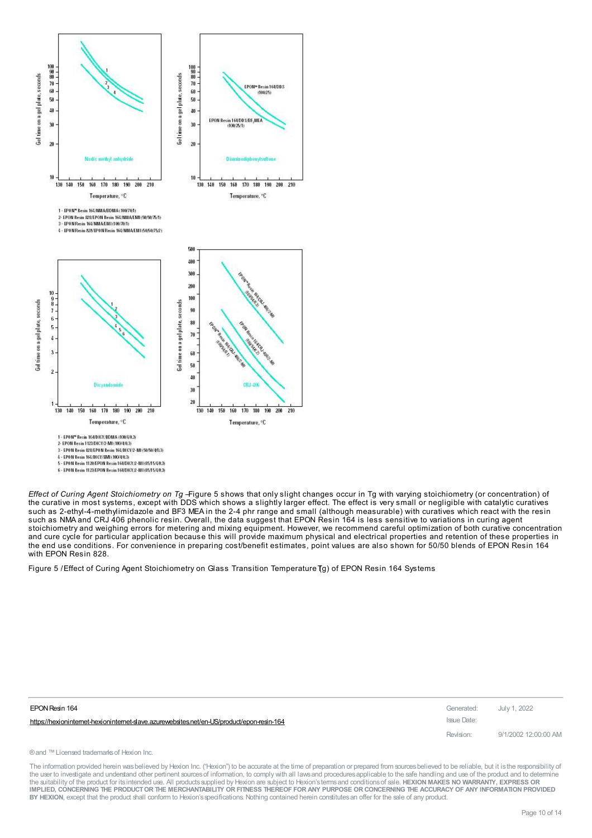

<sup>4 -</sup> EPON Resin 164/01CY/EMI (100/4/0.3)

*Effect of Curing Agent Stoichiometry on Tg –*Figure 5 shows that only slight changes occur in Tg with varying stoichiometry (or concentration) of the curative in most systems, except with DDS which shows a slightly larger effect. The effect is very small or negligible with catalytic curatives such as 2-ethyl-4-methylimidazole and BF3 MEA in the 2-4 phr range and small (although measurable) with curatives which react with the resin such as NMA and CRJ 406 phenolic resin. Overall, the data suggest that EPON Resin 164 is less sensitive to variations in curing agent stoichiometry and weighing errors for metering and mixing equipment. However, we recommend careful optimization of both curative concentration and cure cycle for particular application because this will provide maximum physical and electrical properties and retention of these properties in the end use conditions. For convenience in preparing cost/benefit estimates, point values are also shown for 50/50 blends of EPON Resin 164 with EPON Resin 828.

Figure 5 / Effect of Curing Agent Stoichiometry on Glass Transition Temperature (g) of EPON Resin 164 Systems

| EPON Resin 164                                                                           | Generated: July 1, 2022 |                      |
|------------------------------------------------------------------------------------------|-------------------------|----------------------|
| https://hexionintemet-hexionintemet-slave.azurewebsites.net/en-US/product/epon-resin-164 | Issue Date:             |                      |
|                                                                                          | Revision:               | 9/1/2002 12:00:00 AM |

® and ™ Licensed trademarks of Hexion Inc.

<sup>4 -</sup> EPON Resin 164/01CY/EMIL(1004003)<br>5 - EPON Resin 1120/EPON Resin 164/DICY/2-M1/85/15/4/02)<br>6 - EPON Resin 1123/EPON Resin 164/DICY/2-M1/85/15/4/02)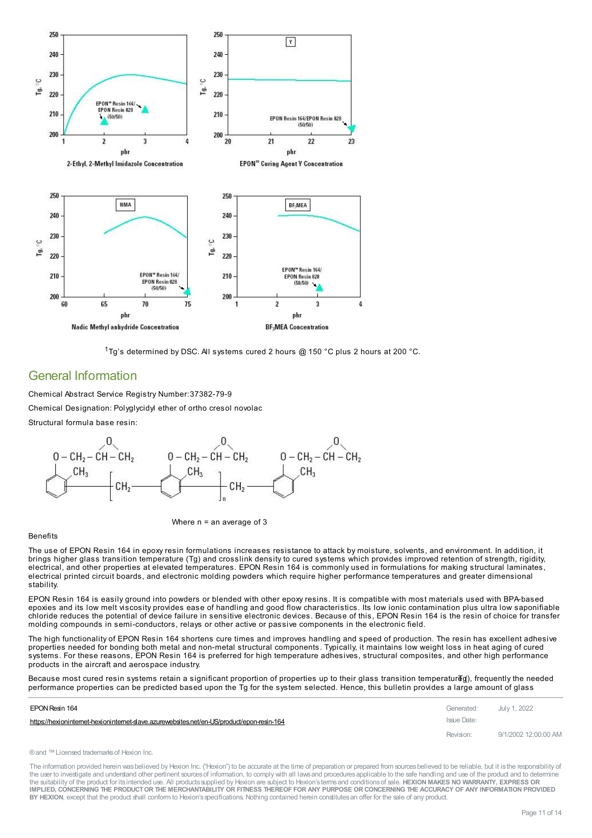

1Tg's determined by DSC. All systems cured 2 hours @ 150 °C plus 2 hours at 200 °C.

### General Information

Chemical Abstract Service Registry Number:37382-79-9 Chemical Designation: Polyglycidyl ether of ortho cresol novolac

Structural formula base resin:



Where  $n = an$  average of 3

#### Benefits

The use of EPON Resin 164 in epoxy resin formulations increases resistance to attack by moisture, solvents, and environment. In addition, it brings higher glass transition temperature (Tg) and crosslink density to cured systems which provides improved retention of strength, rigidity, electrical, and other properties at elevated temperatures. EPON Resin 164 is commonly used in formulations for making structural laminates, electrical printed circuit boards, and electronic molding powders which require higher performance temperatures and greater dimensional stability.

EPON Resin 164 is easily ground into powders or blended with other epoxy resins. It is compatible with most materials used with BPA-based epoxies and its low melt viscosity provides ease of handling and good flow characteristics. Its low ionic contamination plus ultra low saponifiable chloride reduces the potential of device failure in sensitive electronic devices. Because of this, EPON Resin 164 is the resin of choice for transfer molding compounds in semi-conductors, relays or other active or passive components in the electronic field.

The high functionality of EPON Resin 164 shortens cure times and improves handling and speed of production. The resin has excellent adhesive properties needed for bonding both metal and non-metal structural components. Typically, it maintains low weight loss in heat aging of cured systems. For these reasons, EPON Resin 164 is preferred for high temperature adhesives, structural composites, and other high performance products in the aircraft and aerospace industry.

Because most cured resin systems retain a significant proportion of properties up to their glass transition temperatureg(), frequently the needed [performance](https://hexioninternet-hexioninternet-slave.azurewebsites.net/en-US/product/epon-resin-164) properties can be predicted based upon the Tg for the system selected. Hence, this bulletin provides a large amount of glass

| EPON Resin 164                                                                             | Generated: July 1, 2022 |                      |
|--------------------------------------------------------------------------------------------|-------------------------|----------------------|
| https://hexioninternet-hexioninternet-slave.azurewebsites.net/en-US/product/epon-resin-164 | Issue Date:             |                      |
|                                                                                            | Revision:               | 9/1/2002 12:00:00 AM |

```
®and ™Licensed trademarksof Hexion Inc.
```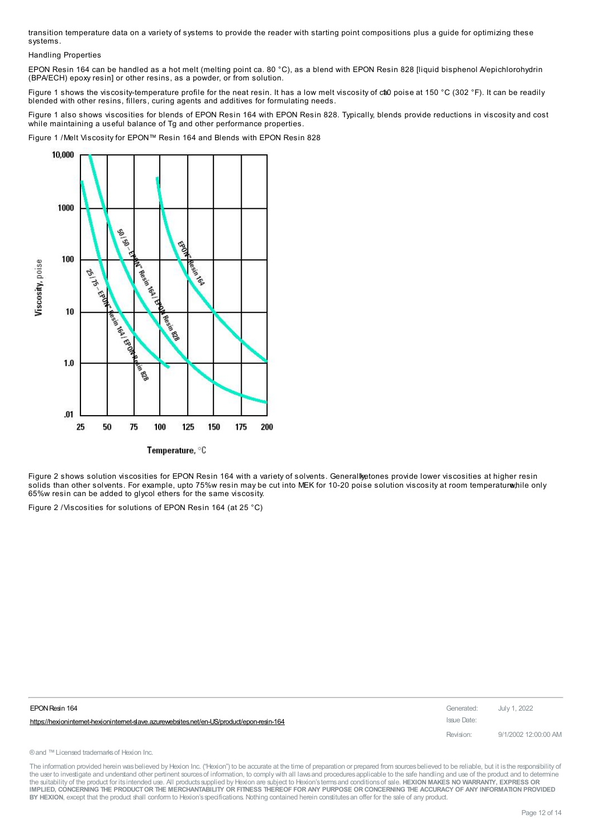transition temperature data on a variety of systems to provide the reader with starting point compositions plus a guide for optimizing these systems.

Handling Properties

EPON Resin 164 can be handled as a hot melt (melting point ca. 80 °C), as a blend with EPON Resin 828 [liquid bisphenol A/epichlorohydrin (BPA/ECH) epoxy resin] or other resins, as a powder, or from solution.

Figure 1 shows the viscosity-temperature profile for the neat resin. It has a low melt viscosity of cto poise at 150 °C (302 °F). It can be readily blended with other resins, fillers, curing agents and additives for formulating needs.

Figure 1 also shows viscosities for blends of EPON Resin 164 with EPON Resin 828. Typically, blends provide reductions in viscosity and cost while maintaining a useful balance of Tg and other performance properties.

Figure 1 /Melt Viscosity for EPON™ Resin 164 and Blends with EPON Resin 828



Temperature, °C

Figure 2 shows solution viscosities for EPON Resin 164 with a variety of solvents. Generall tetones provide lower viscosities at higher resin solids than other solvents. For example, upto 75%w resin may be cut into MEK for 10-20 poise solution viscosity at room temperature/hile only 65%w resin can be added to glycol ethers for the same viscosity.

Figure 2 /Viscosities for solutions of EPON Resin 164 (at 25 °C)

| EPON Resin 164                                                                           | Generated: July 1, 2022 |                      |
|------------------------------------------------------------------------------------------|-------------------------|----------------------|
| https://hexionintemet-hexionintemet-slave.azurewebsites.net/en-US/product/epon-resin-164 | Issue Date:             |                      |
|                                                                                          | Revision:               | 9/1/2002 12:00:00 AM |

® and ™ Licensed trademarks of Hexion Inc.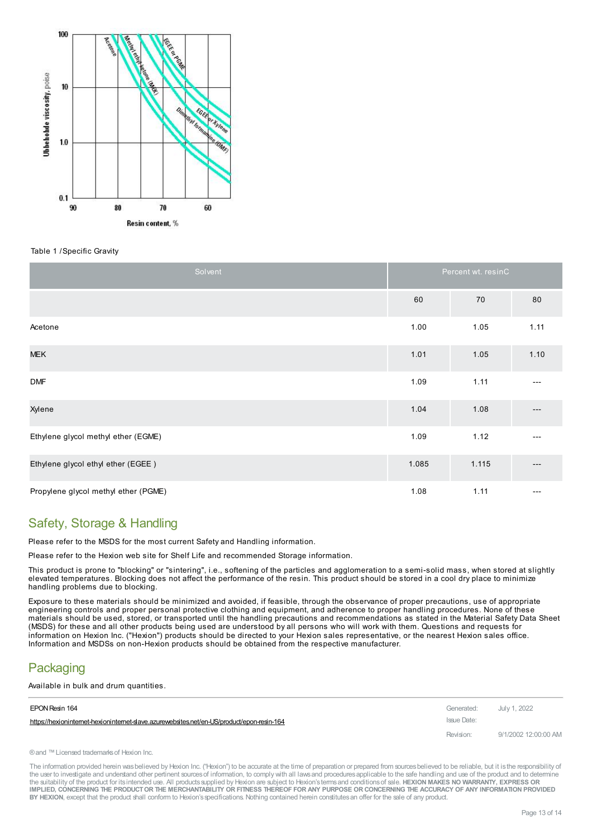

#### Table 1 /Specific Gravity

| Solvent                              | Percent wt. resinC |       |      |  |
|--------------------------------------|--------------------|-------|------|--|
|                                      | 60                 | 70    | 80   |  |
| Acetone                              | 1.00               | 1.05  | 1.11 |  |
| <b>MEK</b>                           | 1.01               | 1.05  | 1.10 |  |
| <b>DMF</b>                           | 1.09               | 1.11  | ---  |  |
| Xylene                               | 1.04               | 1.08  | ---  |  |
| Ethylene glycol methyl ether (EGME)  | 1.09               | 1.12  |      |  |
| Ethylene glycol ethyl ether (EGEE)   | 1.085              | 1.115 | ---  |  |
| Propylene glycol methyl ether (PGME) | 1.08               | 1.11  | ---  |  |

### Safety, Storage & Handling

Please refer to the MSDS for the most current Safety and Handling information.

Please refer to the Hexion web site for Shelf Life and recommended Storage information.

This product is prone to "blocking" or "sintering", i.e., softening of the particles and agglomeration to a semi-solid mass, when stored at slightly elevated temperatures. Blocking does not affect the performance of the resin. This product should be stored in a cool dry place to minimize handling problems due to blocking.

Exposure to these materials should be minimized and avoided, if feasible, through the observance of proper precautions, use of appropriate engineering controls and proper personal protective clothing and equipment, and adherence to proper handling procedures. None of these materials should be used, stored, or transported until the handling precautions and recommendations as stated in the Material Safety Data Sheet (MSDS) for these and all other products being used are understood by all persons who will work with them. Questions and requests for information on Hexion Inc. ("Hexion") products should be directed to your Hexion sales representative, or the nearest Hexion sales office. Information and MSDSs on non-Hexion products should be obtained from the respective manufacturer.

# **Packaging**

Available in bulk and drum [quantities.](https://hexioninternet-hexioninternet-slave.azurewebsites.net/en-US/product/epon-resin-164)

| EPON Resin 164                                                                             | Generated: July 1, 2022 |                      |
|--------------------------------------------------------------------------------------------|-------------------------|----------------------|
| https://hexioninternet-hexioninternet-slave.azurewebsites.net/en-US/product/epon-resin-164 | Issue Date:             |                      |
|                                                                                            | Revision:               | 9/1/2002 12:00:00 AM |

® and ™ Licensed trademarks of Hexion Inc.